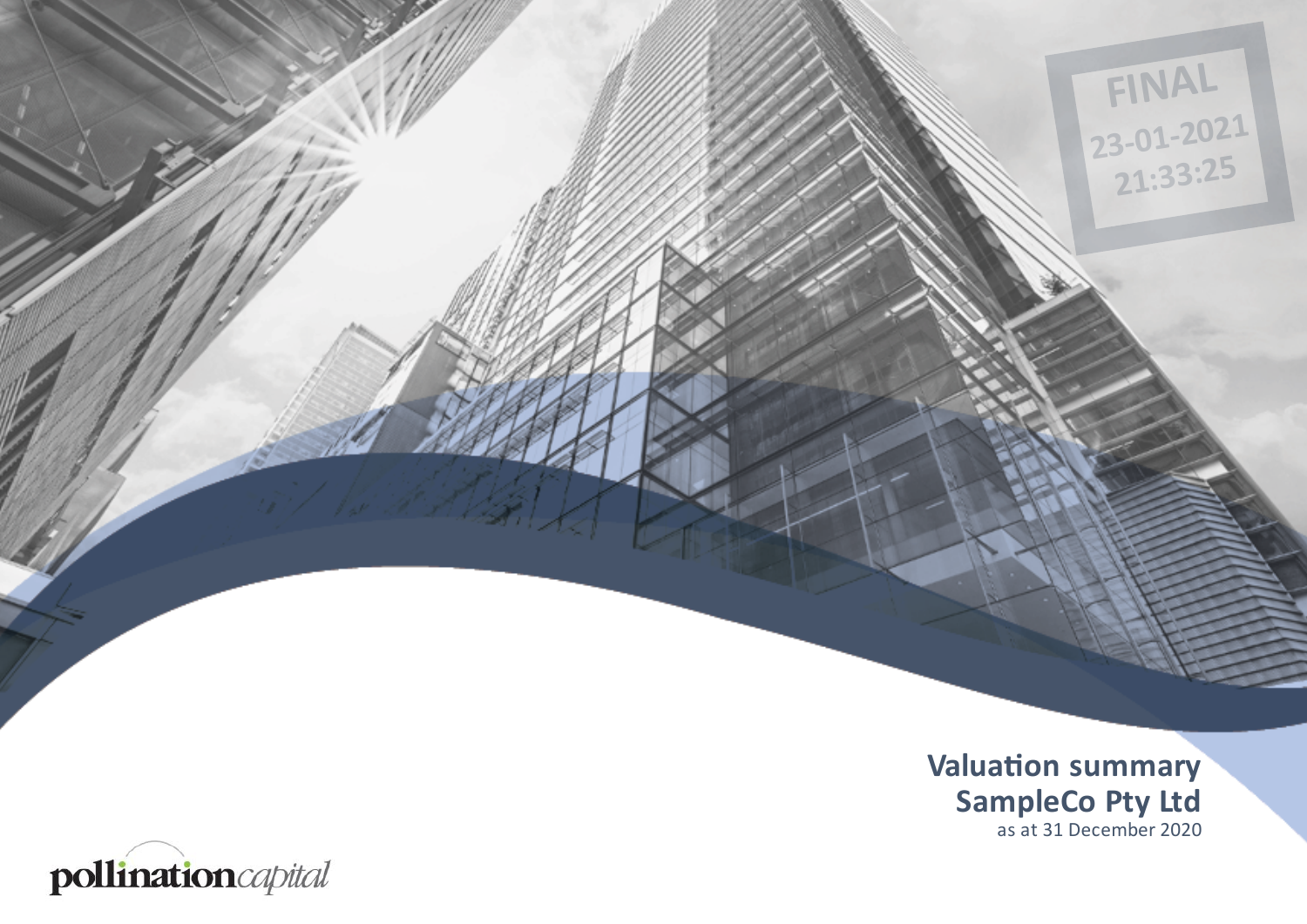

**FINAL**

**23-01-2021**

**21:33:25**

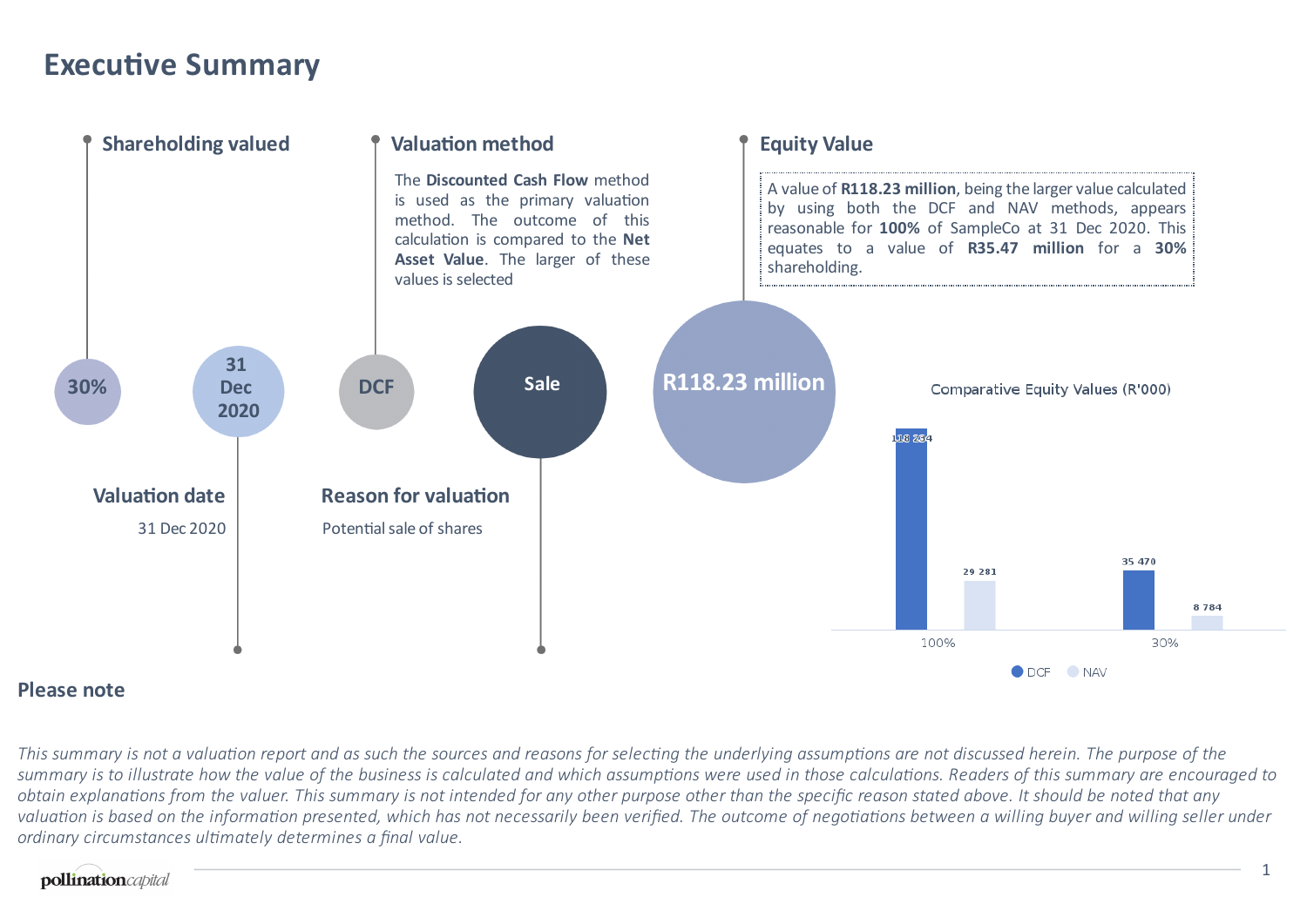### **Executive Summary**



#### **Please note**

This summary is not a valuation report and as such the sources and reasons for selecting the underlying assumptions are not discussed herein. The purpose of the summary is to illustrate how the value of the business is calculated and which assumptions were used in those calculations. Readers of this summary are encouraged to obtain explanations from the valuer. This summary is not intended for any other purpose other than the specific reason stated above. It should be noted that any valuation is based on the information presented, which has not necessarily been verified. The outcome of negotiations between a willing buyer and willing seller under *ordinary circumstances ulmately determines a final value.*

#### pollinationcapital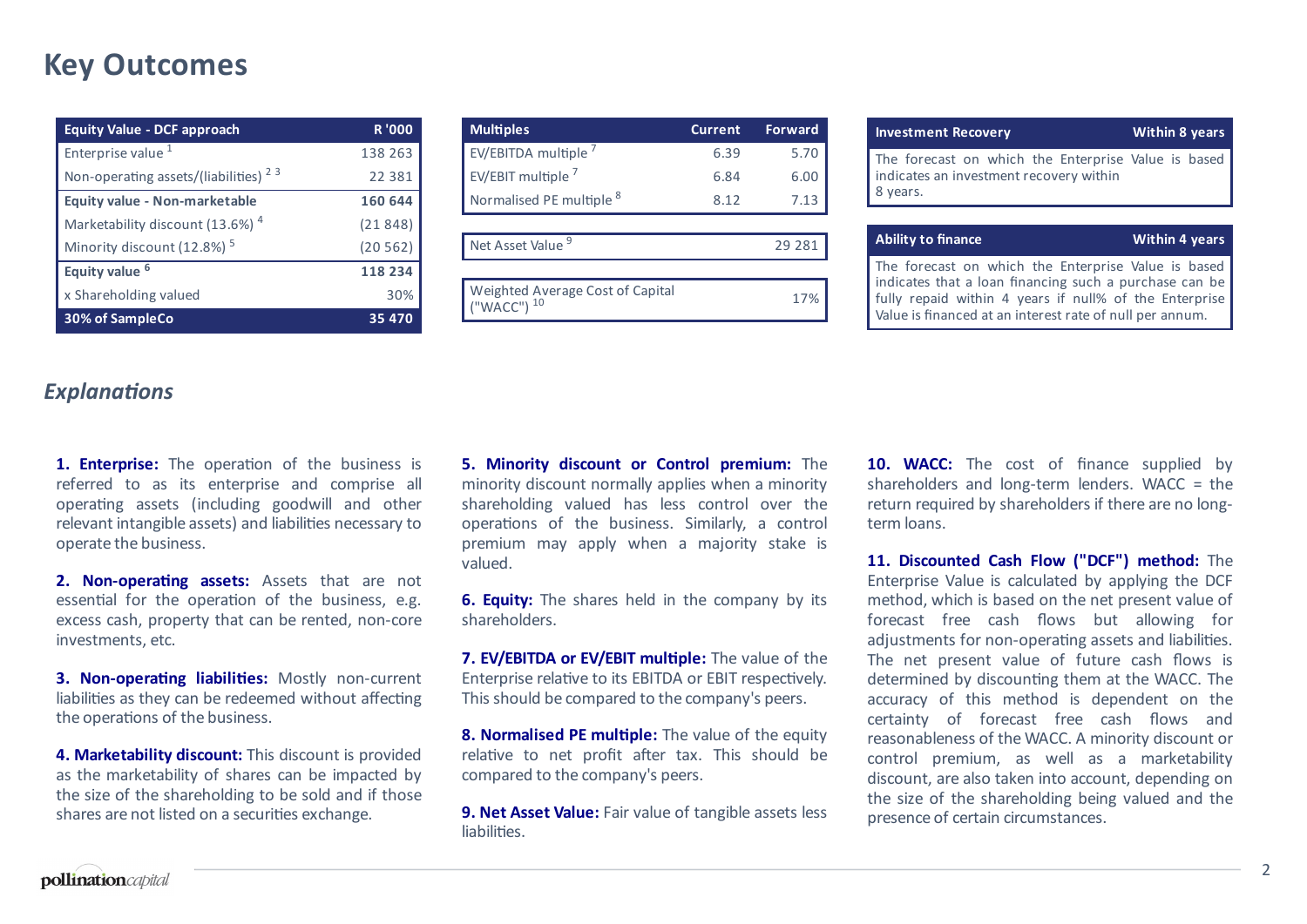### **Key Outcomes**

| <b>Equity Value - DCF approach</b>               | <b>R'000</b> |
|--------------------------------------------------|--------------|
| Enterprise value <sup>1</sup>                    | 138 263      |
| Non-operating assets/(liabilities) <sup>23</sup> | 22 3 8 1     |
| Equity value - Non-marketable                    | 160 644      |
| Marketability discount (13.6%) <sup>4</sup>      | (21848)      |
| Minority discount (12.8%) <sup>5</sup>           | (20562)      |
| Equity value <sup>6</sup>                        | 118 234      |
| x Shareholding valued                            | 30%          |
| 30% of SampleCo                                  | 35 4 7 0     |

| <b>Multiples</b>                                 | <b>Current</b> | <b>Forward</b> |
|--------------------------------------------------|----------------|----------------|
| EV/EBITDA multiple <sup>7</sup>                  | 6.39           | 5.70           |
| EV/EBIT multiple <sup>7</sup>                    | 6.84           | 6.00           |
| Normalised PE multiple 8                         | 8.12           | 7.13           |
|                                                  |                |                |
| Net Asset Value <sup>9</sup>                     |                | 29 28 1        |
|                                                  |                |                |
| Weighted Average Cost of Capital<br>"WACC") $10$ |                | 17%            |

| <b>Investment Recovery</b>                                                                                 | <b>Within 8 years</b> |
|------------------------------------------------------------------------------------------------------------|-----------------------|
| The forecast on which the Enterprise Value is based<br>indicates an investment recovery within<br>8 years. |                       |
|                                                                                                            |                       |

| Ability to finance |  |
|--------------------|--|

**Within 4 years**

The forecast on which the Enterprise Value is based indicates that a loan financing such a purchase can be fully repaid within 4 years if null% of the Enterprise Value is financed at an interest rate of null per annum.

#### **Explanations**

1. **Enterprise:** The operation of the business is referred to as its enterprise and comprise all operating assets (including goodwill and other relevant intangible assets) and liabilities necessary to operate the business.

**2. Non-operating assets:** Assets that are not essential for the operation of the business, e.g. excess cash, property that can be rented, non-core investments, etc.

**3. Non-operating liabilities:** Mostly non-current liabilities as they can be redeemed without affecting the operations of the business.

**4. Marketability discount:** This discount is provided as the marketability of shares can be impacted by the size of the shareholding to be sold and if those shares are not listed on a securities exchange.

**5. Minority discount or Control premium:** The minority discount normally applies when a minority shareholding valued has less control over the operations of the business. Similarly, a control premium may apply when a majority stake is valued.

**6. Equity:** The shares held in the company by its shareholders.

**7. EV/EBITDA or EV/EBIT mulple:** The value of the Enterprise relative to its EBITDA or EBIT respectively. This should be compared to the company's peers.

**8. Normalised PE multiple:** The value of the equity relative to net profit after tax. This should be compared to the company's peers.

**9. Net Asset Value:** Fair value of tangible assets less liabilities.

**10. WACC:** The cost of finance supplied by shareholders and long-term lenders. WACC = the return required by shareholders if there are no longterm loans.

**11. Discounted Cash Flow ("DCF") method:** The Enterprise Value is calculated by applying the DCF method, which is based on the net present value of forecast free cash flows but allowing for adjustments for non-operating assets and liabilities. The net present value of future cash flows is determined by discounting them at the WACC. The accuracy of this method is dependent on the certainty of forecast free cash flows and reasonableness of the WACC. A minority discount or control premium, as well as a marketability discount, are also taken into account, depending on the size of the shareholding being valued and the presence of certain circumstances.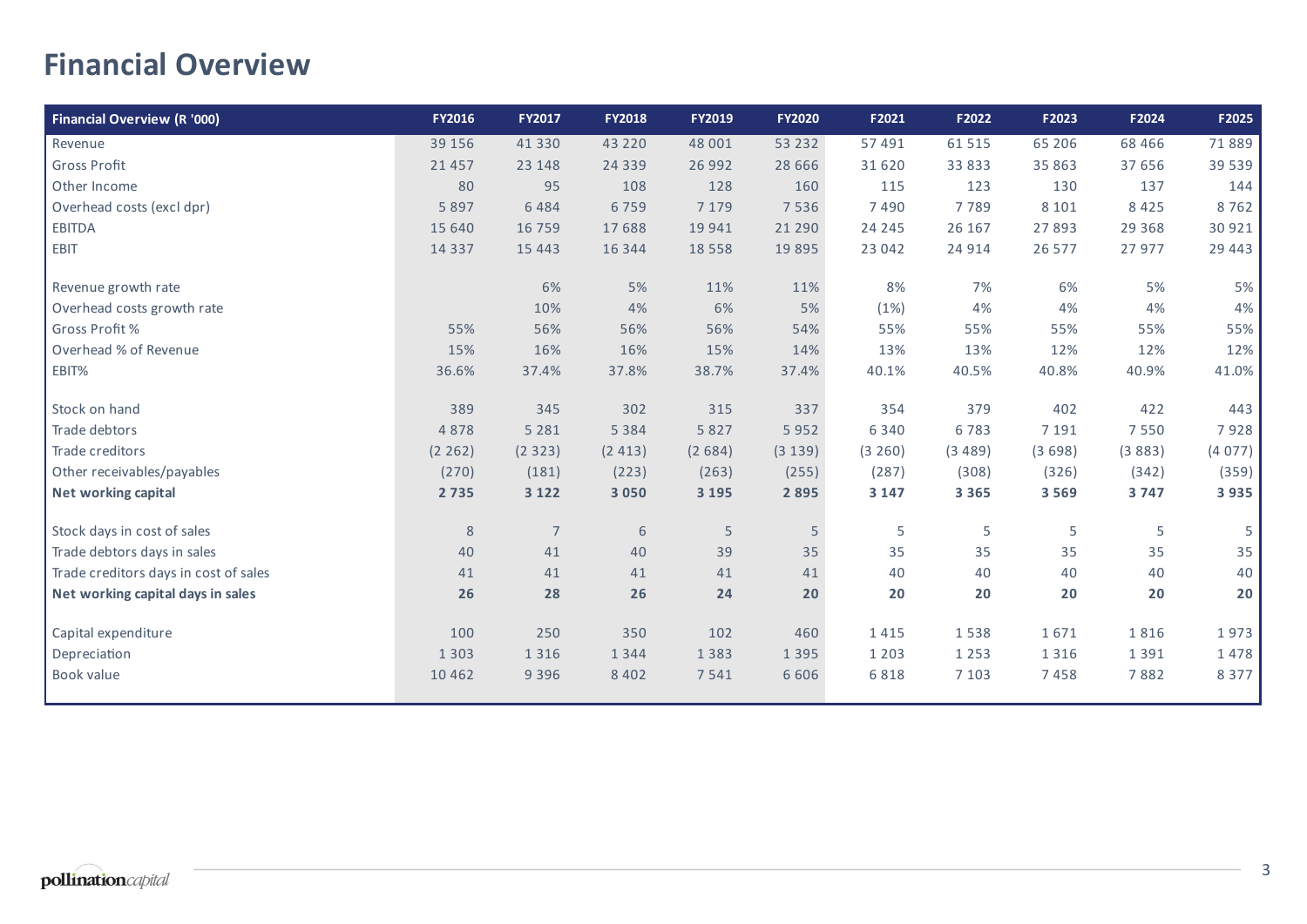# **Financial Overview**

| <b>Financial Overview (R '000)</b>    | <b>FY2016</b> | <b>FY2017</b>  | <b>FY2018</b> | FY2019   | <b>FY2020</b> | F2021   | F2022   | F2023   | F2024    | F2025    |
|---------------------------------------|---------------|----------------|---------------|----------|---------------|---------|---------|---------|----------|----------|
| Revenue                               | 39 15 6       | 41 3 3 0       | 43 2 2 0      | 48 001   | 53 2 32       | 57 491  | 61 515  | 65 206  | 68 4 66  | 71889    |
| <b>Gross Profit</b>                   | 21 4 5 7      | 23 148         | 24 3 3 9      | 26 992   | 28 6 6 6      | 31 620  | 33 833  | 35 863  | 37 656   | 39 5 39  |
| Other Income                          | 80            | 95             | 108           | 128      | 160           | 115     | 123     | 130     | 137      | 144      |
| Overhead costs (excl dpr)             | 5 8 9 7       | 6484           | 6759          | 7 1 7 9  | 7 5 3 6       | 7490    | 7789    | 8 1 0 1 | 8 4 2 5  | 8762     |
| <b>EBITDA</b>                         | 15 640        | 16 7 5 9       | 17688         | 19 941   | 21 290        | 24 245  | 26 167  | 27893   | 29 3 6 8 | 30 921   |
| EBIT                                  | 14 3 3 7      | 15 4 43        | 16 344        | 18 5 5 8 | 19 8 95       | 23 042  | 24 9 14 | 26 577  | 27 977   | 29 4 4 3 |
| Revenue growth rate                   |               | 6%             | 5%            | 11%      | 11%           | 8%      | 7%      | 6%      | 5%       | $5%$     |
| Overhead costs growth rate            |               | 10%            | 4%            | 6%       | 5%            | (1%)    | 4%      | 4%      | 4%       | 4%       |
| Gross Profit %                        | 55%           | 56%            | 56%           | 56%      | 54%           | 55%     | 55%     | 55%     | 55%      | 55%      |
| Overhead % of Revenue                 | 15%           | 16%            | 16%           | 15%      | 14%           | 13%     | 13%     | 12%     | 12%      | 12%      |
| EBIT%                                 | 36.6%         | 37.4%          | 37.8%         | 38.7%    | 37.4%         | 40.1%   | 40.5%   | 40.8%   | 40.9%    | 41.0%    |
| Stock on hand                         | 389           | 345            | 302           | 315      | 337           | 354     | 379     | 402     | 422      | 443      |
| Trade debtors                         | 4878          | 5 2 8 1        | 5 3 8 4       | 5 8 2 7  | 5952          | 6 3 4 0 | 6783    | 7 1 9 1 | 7550     | 7928     |
| Trade creditors                       | (2 262)       | (2323)         | (2413)        | (2684)   | (3 139)       | (3 260) | (3489)  | (3698)  | (3883)   | (4077)   |
| Other receivables/payables            | (270)         | (181)          | (223)         | (263)    | (255)         | (287)   | (308)   | (326)   | (342)    | (359)    |
| Net working capital                   | 2 7 3 5       | 3 1 2 2        | 3 0 5 0       | 3 1 9 5  | 2 8 9 5       | 3 1 4 7 | 3 3 6 5 | 3 5 6 9 | 3747     | 3935     |
| Stock days in cost of sales           | $\,8\,$       | $\overline{7}$ | 6             | 5        | 5             | 5       | 5       | 5       | 5        | 5        |
| Trade debtors days in sales           | 40            | 41             | 40            | 39       | 35            | 35      | 35      | 35      | 35       | 35       |
| Trade creditors days in cost of sales | 41            | 41             | 41            | 41       | 41            | 40      | 40      | 40      | 40       | 40       |
| Net working capital days in sales     | 26            | 28             | 26            | 24       | 20            | 20      | 20      | 20      | 20       | 20       |
| Capital expenditure                   | 100           | 250            | 350           | 102      | 460           | 1415    | 1538    | 1671    | 1816     | 1973     |
| Depreciation                          | 1 3 0 3       | 1 3 1 6        | 1 3 4 4       | 1 3 8 3  | 1 3 9 5       | 1 2 0 3 | 1 2 5 3 | 1 3 1 6 | 1 3 9 1  | 1478     |
| Book value                            | 10 4 6 2      | 9 3 9 6        | 8 4 0 2       | 7541     | 6 6 0 6       | 6818    | 7 1 0 3 | 7458    | 7882     | 8 3 7 7  |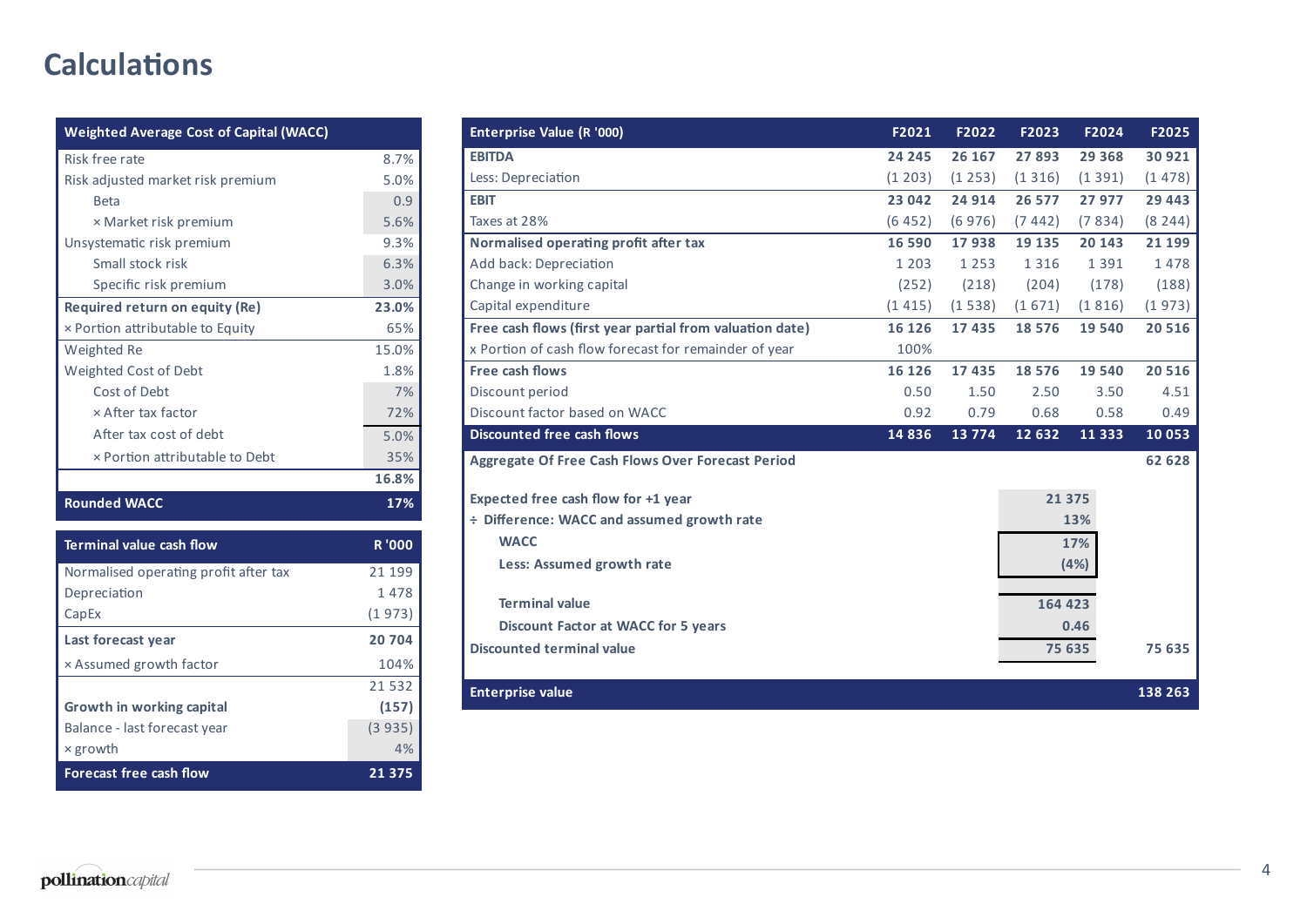# **Calculations**

| <b>Weighted Average Cost of Capital (WACC)</b> |              |
|------------------------------------------------|--------------|
| Risk free rate                                 | 8.7%         |
| Risk adjusted market risk premium              | 5.0%         |
| <b>Beta</b>                                    | 0.9          |
| × Market risk premium                          | 5.6%         |
| Unsystematic risk premium                      | 9.3%         |
| Small stock risk                               | 6.3%         |
| Specific risk premium                          | 3.0%         |
| Required return on equity (Re)                 | 23.0%        |
| x Portion attributable to Equity               | 65%          |
| Weighted Re                                    | 15.0%        |
| Weighted Cost of Debt                          | 1.8%         |
| Cost of Debt                                   | 7%           |
| x After tax factor                             | 72%          |
| After tax cost of debt                         | 5.0%         |
| x Portion attributable to Debt                 | 35%          |
|                                                | 16.8%        |
| <b>Rounded WACC</b>                            | 17%          |
| <b>Terminal value cash flow</b>                | <b>R'000</b> |
| Normalised operating profit after tax          | 21 199       |
| Depreciation                                   | 1478         |
| CapEx                                          | (1973)       |
| Last forecast year                             | 20704        |
| × Assumed growth factor                        | 104%         |
|                                                | 21532        |
| <b>Growth in working capital</b>               | (157)        |
| Balance - last forecast year                   | (3935)       |
| $\times$ growth                                | 4%           |
| <b>Forecast free cash flow</b>                 | 21 375       |

| Enterprise Value (R '000)                                | F2021   | F2022   | F2023   | F2024    | F2025   |
|----------------------------------------------------------|---------|---------|---------|----------|---------|
| <b>EBITDA</b>                                            | 24 245  | 26 167  | 27893   | 29 3 68  | 30 921  |
| Less: Depreciation                                       | (1 203) | (1253)  | (1316)  | (1391)   | (1478)  |
| <b>EBIT</b>                                              | 23 042  | 24 914  | 26 577  | 27 977   | 29 4 43 |
| Taxes at 28%                                             | (6452)  | (6976)  | (7442)  | (7834)   | (8244)  |
| Normalised operating profit after tax                    | 16 590  | 17938   | 19 135  | 20 143   | 21 199  |
| Add back: Depreciation                                   | 1 2 0 3 | 1 2 5 3 | 1 3 1 6 | 1 3 9 1  | 1478    |
| Change in working capital                                | (252)   | (218)   | (204)   | (178)    | (188)   |
| Capital expenditure                                      | (1415)  | (1538)  | (1671)  | (1816)   | (1973)  |
| Free cash flows (first year partial from valuation date) | 16 126  | 17435   | 18576   | 19540    | 20 516  |
| x Portion of cash flow forecast for remainder of year    | 100%    |         |         |          |         |
| Free cash flows                                          | 16 126  | 17435   | 18576   | 19 540   | 20 5 16 |
| Discount period                                          | 0.50    | 1.50    | 2.50    | 3.50     | 4.51    |
| Discount factor based on WACC                            | 0.92    | 0.79    | 0.68    | 0.58     | 0.49    |
| <b>Discounted free cash flows</b>                        | 14 8 36 | 13774   | 12 632  | 11 3 3 3 | 10 053  |
| <b>Aggregate Of Free Cash Flows Over Forecast Period</b> |         |         |         |          | 62 628  |
| Expected free cash flow for +1 year                      |         |         | 21 375  |          |         |
| ÷ Difference: WACC and assumed growth rate               |         |         |         | 13%      |         |
| <b>WACC</b>                                              |         |         |         | 17%      |         |
| Less: Assumed growth rate                                |         |         |         | (4%)     |         |
| <b>Terminal value</b>                                    |         |         | 164 423 |          |         |
| Discount Factor at WACC for 5 years                      |         |         |         | 0.46     |         |
|                                                          |         |         |         |          |         |
| <b>Discounted terminal value</b>                         |         |         | 75 635  |          | 75 635  |
| <b>Enterprise value</b>                                  |         |         |         |          | 138 263 |